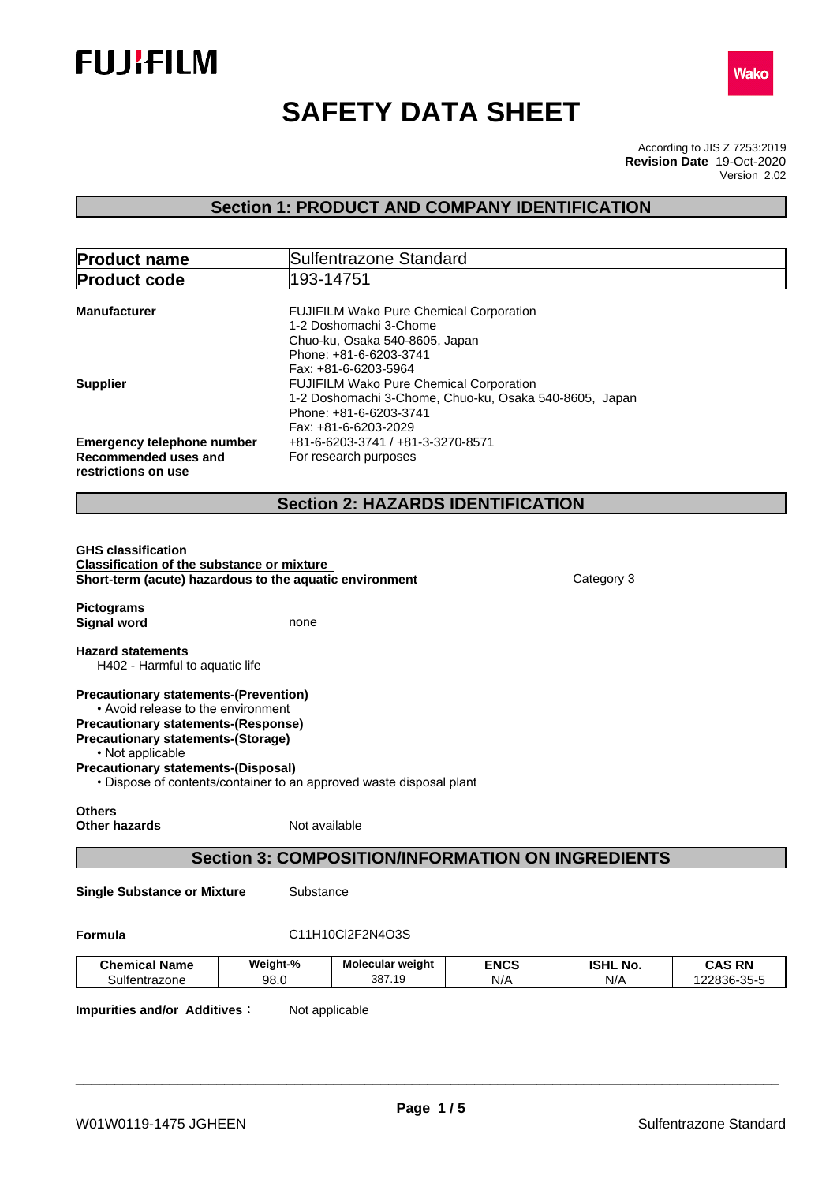



# **SAFETY DATA SHEET**

According to JIS Z 7253:2019 Version 2.02 **Revision Date** 19-Oct-2020

# **Section 1: PRODUCT AND COMPANY IDENTIFICATION**

| <b>Product name</b>                                                                                                                                                                                                                                                                                                    |               | Sulfentrazone Standard                                                                                                                                |             |                 |               |
|------------------------------------------------------------------------------------------------------------------------------------------------------------------------------------------------------------------------------------------------------------------------------------------------------------------------|---------------|-------------------------------------------------------------------------------------------------------------------------------------------------------|-------------|-----------------|---------------|
| <b>Product code</b>                                                                                                                                                                                                                                                                                                    |               | 193-14751                                                                                                                                             |             |                 |               |
| <b>Manufacturer</b>                                                                                                                                                                                                                                                                                                    |               | FUJIFILM Wako Pure Chemical Corporation<br>1-2 Doshomachi 3-Chome<br>Chuo-ku, Osaka 540-8605, Japan<br>Phone: +81-6-6203-3741<br>Fax: +81-6-6203-5964 |             |                 |               |
| <b>Supplier</b>                                                                                                                                                                                                                                                                                                        |               | FUJIFILM Wako Pure Chemical Corporation<br>1-2 Doshomachi 3-Chome, Chuo-ku, Osaka 540-8605, Japan<br>Phone: +81-6-6203-3741<br>Fax: +81-6-6203-2029   |             |                 |               |
| <b>Emergency telephone number</b><br>Recommended uses and<br>restrictions on use                                                                                                                                                                                                                                       |               | +81-6-6203-3741 / +81-3-3270-8571<br>For research purposes                                                                                            |             |                 |               |
|                                                                                                                                                                                                                                                                                                                        |               | <b>Section 2: HAZARDS IDENTIFICATION</b>                                                                                                              |             |                 |               |
| <b>GHS classification</b><br><b>Classification of the substance or mixture</b><br>Short-term (acute) hazardous to the aquatic environment<br><b>Pictograms</b>                                                                                                                                                         |               |                                                                                                                                                       |             | Category 3      |               |
| <b>Signal word</b><br><b>Hazard statements</b><br>H402 - Harmful to aquatic life                                                                                                                                                                                                                                       | none          |                                                                                                                                                       |             |                 |               |
| <b>Precautionary statements-(Prevention)</b><br>• Avoid release to the environment<br><b>Precautionary statements-(Response)</b><br><b>Precautionary statements-(Storage)</b><br>• Not applicable<br><b>Precautionary statements-(Disposal)</b><br>• Dispose of contents/container to an approved waste disposal plant |               |                                                                                                                                                       |             |                 |               |
| <b>Others</b><br>Other hazards                                                                                                                                                                                                                                                                                         | Not available |                                                                                                                                                       |             |                 |               |
|                                                                                                                                                                                                                                                                                                                        |               | <b>Section 3: COMPOSITION/INFORMATION ON INGREDIENTS</b>                                                                                              |             |                 |               |
| <b>Single Substance or Mixture</b>                                                                                                                                                                                                                                                                                     | Substance     |                                                                                                                                                       |             |                 |               |
| Formula                                                                                                                                                                                                                                                                                                                |               | C11H10Cl2F2N4O3S                                                                                                                                      |             |                 |               |
| <b>Chemical Name</b>                                                                                                                                                                                                                                                                                                   | Weight-%      | Molecular weight                                                                                                                                      | <b>ENCS</b> | <b>ISHL No.</b> | <b>CAS RN</b> |
| Sulfentrazone                                                                                                                                                                                                                                                                                                          | 98.0          | 387.19                                                                                                                                                | N/A         | N/A             | 122836-35-5   |

**Impurities and/or Additives** : Not applicable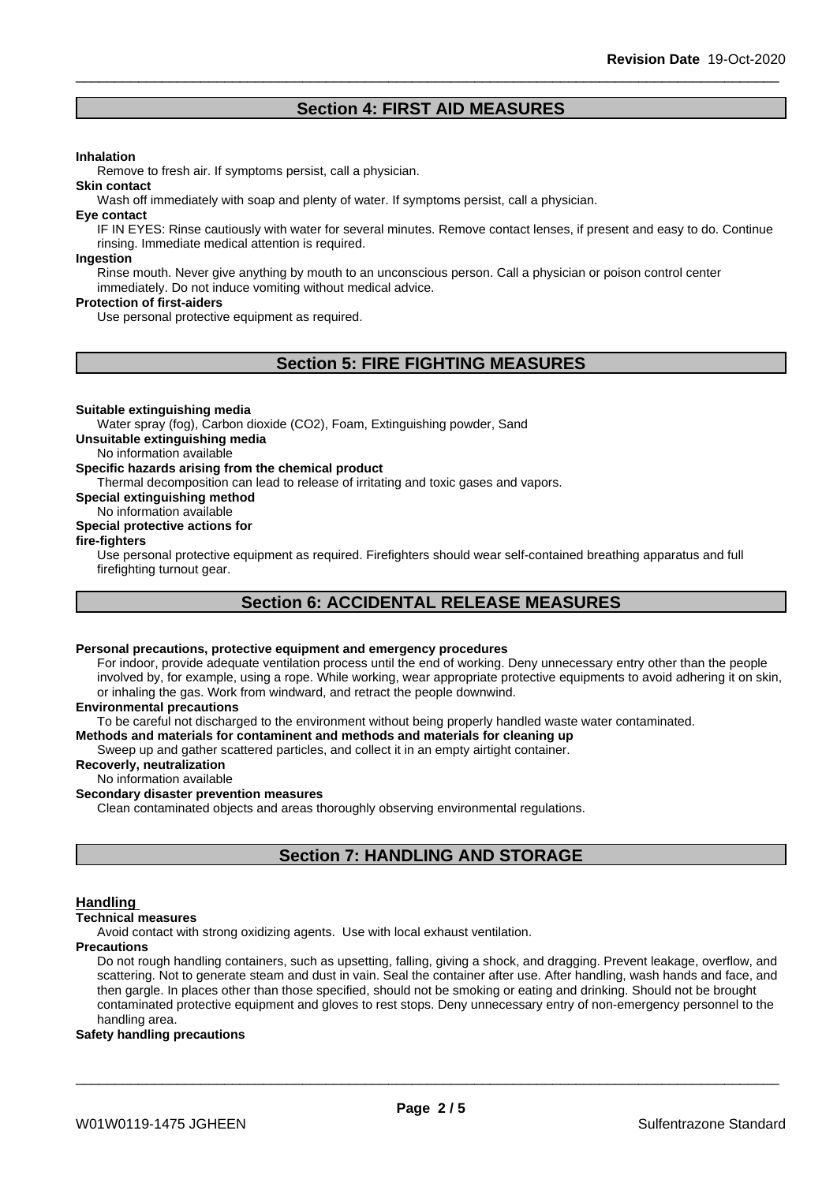# **Section 4: FIRST AID MEASURES**

#### **Inhalation**

Remove to fresh air. If symptoms persist, call a physician.

Wash off immediately with soap and plenty of water. If symptoms persist, call a physician.

#### **Eye contact**

**Skin contact**

IF IN EYES: Rinse cautiously with water for several minutes. Remove contact lenses, if present and easy to do. Continue rinsing. Immediate medical attention is required.

#### **Ingestion**

Rinse mouth. Never give anything by mouth to an unconscious person. Call a physician or poison control center immediately. Do not induce vomiting without medical advice.

#### **Protection of first-aiders**

Use personal protective equipment as required.

# **Section 5: FIRE FIGHTING MEASURES**

#### **Suitable extinguishing media**

Water spray (fog), Carbon dioxide (CO2), Foam, Extinguishing powder, Sand

**Unsuitable extinguishing media**

No information available

#### **Specific hazards arising from the chemical product**

Thermal decomposition can lead to release of irritating and toxic gases and vapors.

**Special extinguishing method**

#### No information available

#### **Special protective actions for**

#### **fire-fighters**

Use personal protective equipment as required.Firefighters should wear self-contained breathing apparatus and full firefighting turnout gear.

# **Section 6: ACCIDENTAL RELEASE MEASURES**

#### **Personal precautions, protective equipment and emergency procedures**

For indoor, provide adequate ventilation process until the end of working. Deny unnecessary entry other than the people involved by, for example, using a rope. While working, wear appropriate protective equipments to avoid adhering it on skin, or inhaling the gas. Work from windward, and retract the people downwind.

#### **Environmental precautions**

To be careful not discharged to the environment without being properly handled waste water contaminated.

#### **Methods and materials for contaminent and methods and materials for cleaning up**

Sweep up and gather scattered particles, and collect it in an empty airtight container.

### **Recoverly, neutralization**

#### No information available

#### **Secondary disaster prevention measures**

Clean contaminated objects and areas thoroughly observing environmental regulations.

# **Section 7: HANDLING AND STORAGE**

#### **Handling**

#### **Technical measures**

Avoid contact with strong oxidizing agents. Use with local exhaust ventilation.

#### **Precautions**

Do not rough handling containers, such as upsetting, falling, giving a shock, and dragging. Prevent leakage, overflow, and scattering. Not to generate steam and dust in vain. Seal the container after use. After handling, wash hands and face, and then gargle. In places other than those specified, should not be smoking or eating and drinking. Should not be brought contaminated protective equipment and gloves to rest stops. Deny unnecessary entry of non-emergency personnel to the handling area.

#### **Safety handling precautions**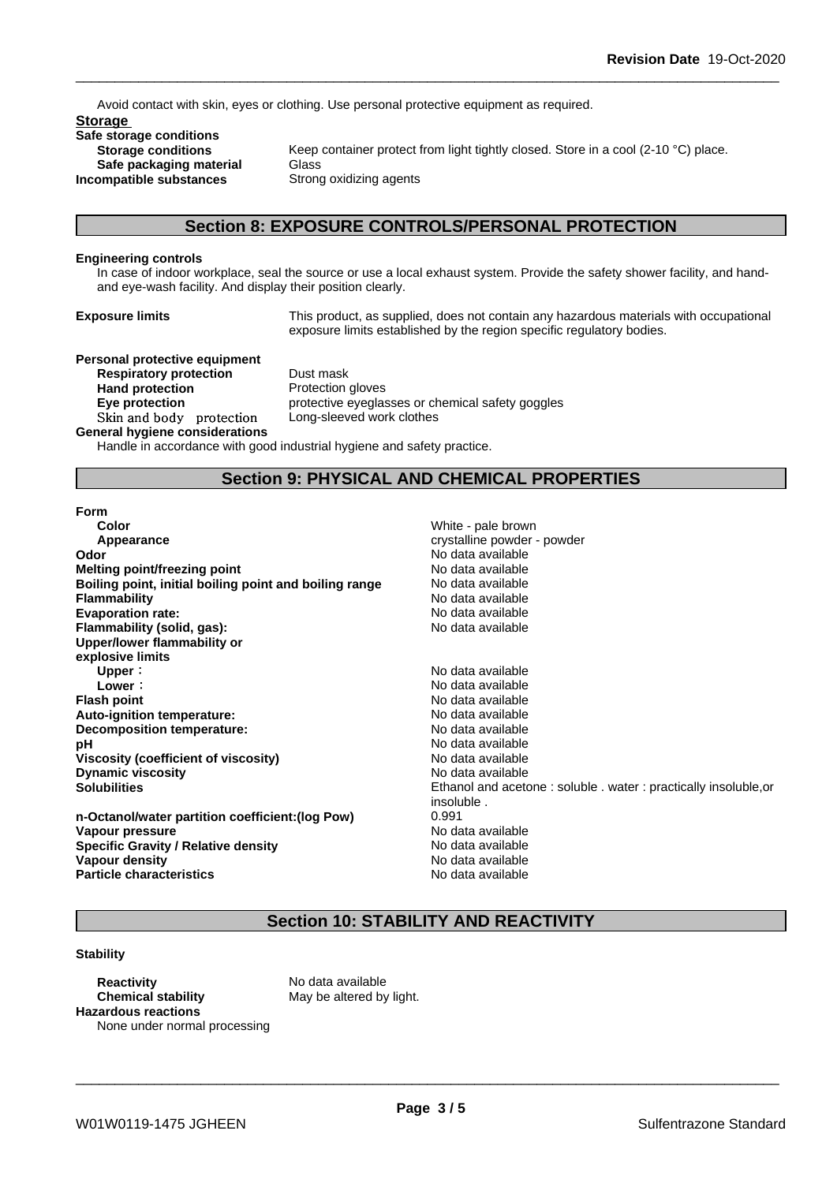Avoid contact with skin, eyes or clothing. Use personal protective equipment as required.

**Storage Safe storage conditions Safe packaging material** Glass<br>**ompatible substances** Strong oxidizing agents **Incompatible** substances

**Storage conditions** Keep container protect from light tightly closed. Store in a cool (2-10 °C) place.

# **Section 8: EXPOSURE CONTROLS/PERSONAL PROTECTION**

#### **Engineering controls**

In case of indoor workplace, seal the source or use a local exhaust system. Provide the safety shower facility, and handand eye-wash facility. And display their position clearly.

**Exposure limits** This product, as supplied, does not contain any hazardous materials with occupational exposure limits established by the region specific regulatory bodies.

# **Personal protective equipment**

**Respiratory protection** Dust mask **Hand protection** Protection gloves Skin and body protection Long-sleeved work clothes **General hygiene considerations**

**Eye protection Exercise protective eyeglasses or chemical safety goggles** 

Handle in accordance with good industrial hygiene and safety practice.

# **Section 9: PHYSICAL AND CHEMICAL PROPERTIES**

#### **Form**

| Color                                                  | White - pale brown           |
|--------------------------------------------------------|------------------------------|
| Appearance                                             | crystalline powder - powder  |
| Odor                                                   | No data available            |
| Melting point/freezing point                           | No data available            |
| Boiling point, initial boiling point and boiling range | No data available            |
| Flammability                                           | No data available            |
| <b>Evaporation rate:</b>                               | No data available            |
| Flammability (solid, gas):                             | No data available            |
| Upper/lower flammability or                            |                              |
| explosive limits                                       |                              |
| Upper:                                                 | No data available            |
| Lower:                                                 | No data available            |
| <b>Flash point</b>                                     | No data available            |
| Auto-ignition temperature:                             | No data available            |
| Decomposition temperature:                             | No data available            |
| рH                                                     | No data available            |
| Viscosity (coefficient of viscosity)                   | No data available            |
| <b>Dynamic viscosity</b>                               | No data available            |
| <b>Solubilities</b>                                    | Ethanol and acetone: soluble |
|                                                        | insoluble.                   |
| n-Octanol/water partition coefficient: (log Pow)       | 0.991                        |
| <b>VODAUE BEACCUPA</b>                                 | Ala data eveilable           |

**Pressure** Apple **Pressure** Apple **Pressure** No data available **Specific Gravity / Relative density** No data available **Vapour density** No data available **Particle characteristics** No data available

**Odor** No data available **Melting point/freezing point** No data available **Boiling point, initial boiling point and boiling range** No data available **Flammability** No data available **Evaporation rate:** No data available **Flammability (solid, gas):** No data available **Upper:** No data available **Lower:** No data available **Flash point** No data available **Auto-ignition temperature:** No data available **Decomposition temperature:** No data available **pH** No data available **Viscosity (coefficient of viscosity)** No data available **Dynamic viscosity** No data available **Solubilities** Ethanol and acetone : soluble . water : practically insoluble,or insoluble .

# **Section 10: STABILITY AND REACTIVITY**

#### **Stability**

**Reactivity** No data available **Chemical stability** May be altered by light. **Hazardous reactions** None under normal processing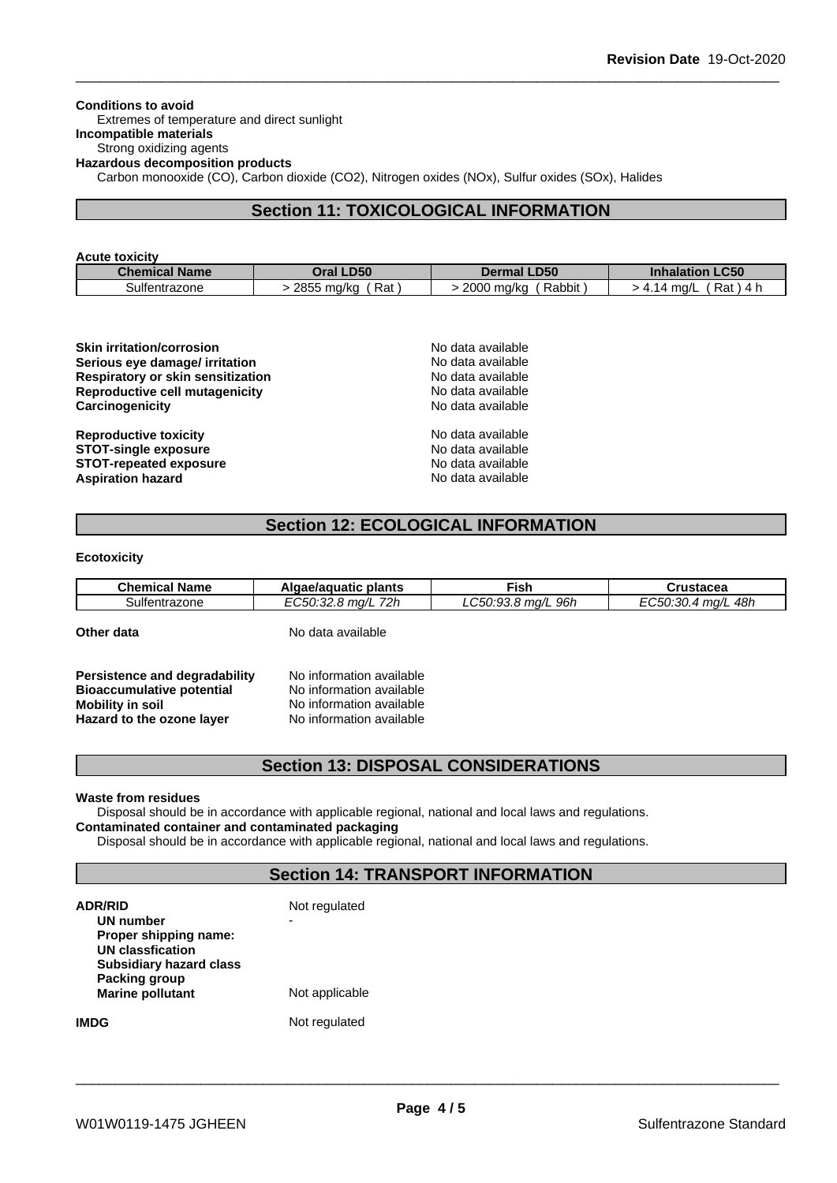**Conditions to avoid** Extremes of temperature and direct sunlight **Incompatible materials** Strong oxidizing agents **Hazardous decomposition products** Carbon monooxide (CO), Carbon dioxide (CO2), Nitrogen oxides (NOx), Sulfur oxides (SOx), Halides

# **Section 11: TOXICOLOGICAL INFORMATION**

| <b>Acute toxicity</b> |                   |                      |                           |
|-----------------------|-------------------|----------------------|---------------------------|
| <b>Chemical Name</b>  | Oral LD50         | <b>Dermal LD50</b>   | <b>Inhalation LC50</b>    |
| Sulfentrazone         | 2855 mg/kg<br>Rat | Rabbit<br>2000 mg/kg | Rat<br>4.14 ma/L<br>\ 4 h |

| <b>Skin irritation/corrosion</b>         | No data available |  |
|------------------------------------------|-------------------|--|
| Serious eye damage/ irritation           | No data available |  |
| <b>Respiratory or skin sensitization</b> | No data available |  |
| Reproductive cell mutagenicity           | No data available |  |
| Carcinogenicity                          | No data available |  |
| <b>Reproductive toxicity</b>             | No data available |  |
| <b>STOT-single exposure</b>              | No data available |  |
| <b>STOT-repeated exposure</b>            | No data available |  |
| <b>Aspiration hazard</b>                 | No data available |  |

# **Section 12: ECOLOGICAL INFORMATION**

#### **Ecotoxicity**

| <b>Chemical Name</b> | Algae/aguatic plants | Fish               | Crustacea          |
|----------------------|----------------------|--------------------|--------------------|
| Sulfentrazone        | EC50:32.8 ma/L 72h   | LC50:93.8 ma/L 96h | EC50:30.4 ma/L 48h |
| Other data           | No data available    |                    |                    |

**Persistence and degradability** No information available **Bioaccumulative potential** No information available **Mobility in soil**<br> **Hazard to the ozone laver** Mo information available **Hazard** to the ozone layer

# **Section 13: DISPOSAL CONSIDERATIONS**

#### **Waste from residues**

Disposal should be in accordance with applicable regional, national and local laws and regulations. **Contaminated container and contaminated packaging**

Disposal should be in accordance with applicable regional, national and local laws and regulations.

# **Section 14: TRANSPORT INFORMATION**

| <b>ADR/RID</b><br>UN number<br>Proper shipping name:<br><b>UN classfication</b><br><b>Subsidiary hazard class</b><br>Packing group<br><b>Marine pollutant</b> | Not regulated<br>Not applicable |
|---------------------------------------------------------------------------------------------------------------------------------------------------------------|---------------------------------|
| <b>IMDG</b>                                                                                                                                                   | Not regulated                   |